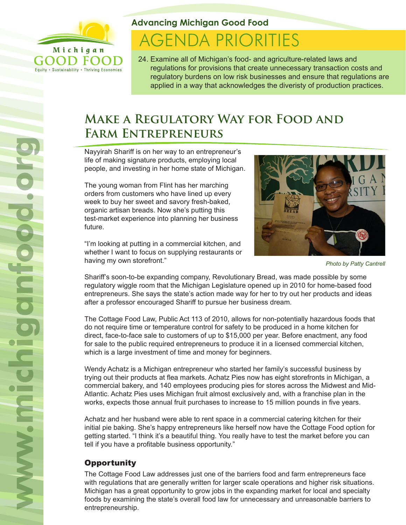

Equity . Sustainability . Thriving Economies

**Advancing Michigan Good Food**

# **AGENDA PRIORITIES**

24. Examine all of Michigan's food- and agriculture-related laws and regulations for provisions that create unnecessary transaction costs and regulatory burdens on low risk businesses and ensure that regulations are applied in a way that acknowledges the diveristy of production practices.

## **Make a Regulatory Way for Food and Farm Entrepreneurs**

Nayyirah Shariff is on her way to an entrepreneur's life of making signature products, employing local people, and investing in her home state of Michigan.

The young woman from Flint has her marching orders from customers who have lined up every week to buy her sweet and savory fresh-baked, organic artisan breads. Now she's putting this test-market experience into planning her business future.

"I'm looking at putting in a commercial kitchen, and whether I want to focus on supplying restaurants or having my own storefront."



*Photo by Patty Cantrell*

Shariff's soon-to-be expanding company, Revolutionary Bread, was made possible by some regulatory wiggle room that the Michigan Legislature opened up in 2010 for home-based food entrepreneurs. She says the state's action made way for her to try out her products and ideas after a professor encouraged Shariff to pursue her business dream.

The Cottage Food Law, Public Act 113 of 2010, allows for non-potentially hazardous foods that do not require time or temperature control for safety to be produced in a home kitchen for direct, face-to-face sale to customers of up to \$15,000 per year. Before enactment, any food for sale to the public required entrepreneurs to produce it in a licensed commercial kitchen, which is a large investment of time and money for beginners.

Wendy Achatz is a Michigan entrepreneur who started her family's successful business by trying out their products at flea markets. Achatz Pies now has eight storefronts in Michigan, a commercial bakery, and 140 employees producing pies for stores across the Midwest and Mid-Atlantic. Achatz Pies uses Michigan fruit almost exclusively and, with a franchise plan in the works, expects those annual fruit purchases to increase to 15 million pounds in five years.

Achatz and her husband were able to rent space in a commercial catering kitchen for their initial pie baking. She's happy entrepreneurs like herself now have the Cottage Food option for getting started. "I think it's a beautiful thing. You really have to test the market before you can tell if you have a profitable business opportunity."

### **Opportunity**

The Cottage Food Law addresses just one of the barriers food and farm entrepreneurs face with regulations that are generally written for larger scale operations and higher risk situations. Michigan has a great opportunity to grow jobs in the expanding market for local and specialty foods by examining the state's overall food law for unnecessary and unreasonable barriers to entrepreneurship.